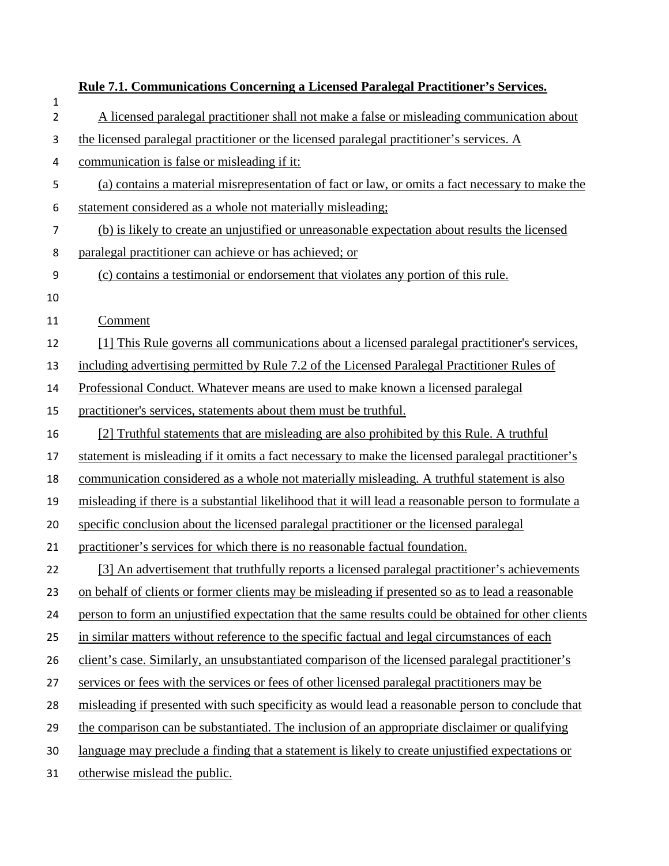|                     | <b>Rule 7.1. Communications Concerning a Licensed Paralegal Practitioner's Services.</b>             |
|---------------------|------------------------------------------------------------------------------------------------------|
| 1<br>$\overline{2}$ | A licensed paralegal practitioner shall not make a false or misleading communication about           |
| 3                   | the licensed paralegal practitioner or the licensed paralegal practitioner's services. A             |
| 4                   | communication is false or misleading if it:                                                          |
| 5                   | (a) contains a material misrepresentation of fact or law, or omits a fact necessary to make the      |
| 6                   | statement considered as a whole not materially misleading;                                           |
| 7                   | (b) is likely to create an unjustified or unreasonable expectation about results the licensed        |
| 8                   | paralegal practitioner can achieve or has achieved; or                                               |
| 9                   | (c) contains a testimonial or endorsement that violates any portion of this rule.                    |
| 10                  |                                                                                                      |
| 11                  | Comment                                                                                              |
| 12                  | [1] This Rule governs all communications about a licensed paralegal practitioner's services,         |
| 13                  | including advertising permitted by Rule 7.2 of the Licensed Paralegal Practitioner Rules of          |
| 14                  | Professional Conduct. Whatever means are used to make known a licensed paralegal                     |
| 15                  | practitioner's services, statements about them must be truthful.                                     |
| 16                  | [2] Truthful statements that are misleading are also prohibited by this Rule. A truthful             |
| 17                  | statement is misleading if it omits a fact necessary to make the licensed paralegal practitioner's   |
| 18                  | communication considered as a whole not materially misleading. A truthful statement is also          |
| 19                  | misleading if there is a substantial likelihood that it will lead a reasonable person to formulate a |
| 20                  | specific conclusion about the licensed paralegal practitioner or the licensed paralegal              |
| 21                  | practitioner's services for which there is no reasonable factual foundation.                         |
| 22                  | [3] An advertisement that truthfully reports a licensed paralegal practitioner's achievements        |
| 23                  | on behalf of clients or former clients may be misleading if presented so as to lead a reasonable     |
| 24                  | person to form an unjustified expectation that the same results could be obtained for other clients  |
| 25                  | in similar matters without reference to the specific factual and legal circumstances of each         |
| 26                  | client's case. Similarly, an unsubstantiated comparison of the licensed paralegal practitioner's     |
| 27                  | services or fees with the services or fees of other licensed paralegal practitioners may be          |
| 28                  | misleading if presented with such specificity as would lead a reasonable person to conclude that     |
| 29                  | the comparison can be substantiated. The inclusion of an appropriate disclaimer or qualifying        |
| 30                  | language may preclude a finding that a statement is likely to create unjustified expectations or     |
| 31                  | otherwise mislead the public.                                                                        |